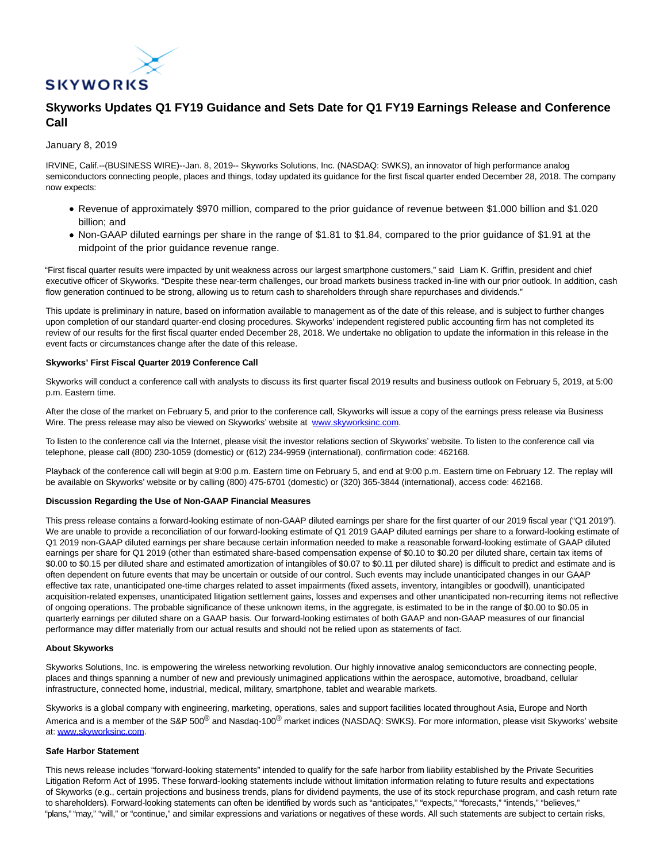

# **Skyworks Updates Q1 FY19 Guidance and Sets Date for Q1 FY19 Earnings Release and Conference Call**

# January 8, 2019

IRVINE, Calif.--(BUSINESS WIRE)--Jan. 8, 2019-- Skyworks Solutions, Inc. (NASDAQ: SWKS), an innovator of high performance analog semiconductors connecting people, places and things, today updated its guidance for the first fiscal quarter ended December 28, 2018. The company now expects:

- Revenue of approximately \$970 million, compared to the prior guidance of revenue between \$1.000 billion and \$1.020 billion; and
- Non-GAAP diluted earnings per share in the range of \$1.81 to \$1.84, compared to the prior guidance of \$1.91 at the midpoint of the prior guidance revenue range.

"First fiscal quarter results were impacted by unit weakness across our largest smartphone customers," said Liam K. Griffin, president and chief executive officer of Skyworks. "Despite these near-term challenges, our broad markets business tracked in-line with our prior outlook. In addition, cash flow generation continued to be strong, allowing us to return cash to shareholders through share repurchases and dividends."

This update is preliminary in nature, based on information available to management as of the date of this release, and is subject to further changes upon completion of our standard quarter-end closing procedures. Skyworks' independent registered public accounting firm has not completed its review of our results for the first fiscal quarter ended December 28, 2018. We undertake no obligation to update the information in this release in the event facts or circumstances change after the date of this release.

# **Skyworks' First Fiscal Quarter 2019 Conference Call**

Skyworks will conduct a conference call with analysts to discuss its first quarter fiscal 2019 results and business outlook on February 5, 2019, at 5:00 p.m. Eastern time.

After the close of the market on February 5, and prior to the conference call, Skyworks will issue a copy of the earnings press release via Business Wire. The press release may also be viewed on Skyworks' website at [www.skyworksinc.com.](https://cts.businesswire.com/ct/CT?id=smartlink&url=http%3A%2F%2Fwww.skyworksinc.com&esheet=51923062&newsitemid=20190108006065&lan=en-US&anchor=www.skyworksinc.com&index=1&md5=549f5a2b25ee89c85559adb7095085a7)

To listen to the conference call via the Internet, please visit the investor relations section of Skyworks' website. To listen to the conference call via telephone, please call (800) 230-1059 (domestic) or (612) 234-9959 (international), confirmation code: 462168.

Playback of the conference call will begin at 9:00 p.m. Eastern time on February 5, and end at 9:00 p.m. Eastern time on February 12. The replay will be available on Skyworks' website or by calling (800) 475-6701 (domestic) or (320) 365-3844 (international), access code: 462168.

# **Discussion Regarding the Use of Non-GAAP Financial Measures**

This press release contains a forward-looking estimate of non-GAAP diluted earnings per share for the first quarter of our 2019 fiscal year ("Q1 2019"). We are unable to provide a reconciliation of our forward-looking estimate of Q1 2019 GAAP diluted earnings per share to a forward-looking estimate of Q1 2019 non-GAAP diluted earnings per share because certain information needed to make a reasonable forward-looking estimate of GAAP diluted earnings per share for Q1 2019 (other than estimated share-based compensation expense of \$0.10 to \$0.20 per diluted share, certain tax items of \$0.00 to \$0.15 per diluted share and estimated amortization of intangibles of \$0.07 to \$0.11 per diluted share) is difficult to predict and estimate and is often dependent on future events that may be uncertain or outside of our control. Such events may include unanticipated changes in our GAAP effective tax rate, unanticipated one-time charges related to asset impairments (fixed assets, inventory, intangibles or goodwill), unanticipated acquisition-related expenses, unanticipated litigation settlement gains, losses and expenses and other unanticipated non-recurring items not reflective of ongoing operations. The probable significance of these unknown items, in the aggregate, is estimated to be in the range of \$0.00 to \$0.05 in quarterly earnings per diluted share on a GAAP basis. Our forward-looking estimates of both GAAP and non-GAAP measures of our financial performance may differ materially from our actual results and should not be relied upon as statements of fact.

### **About Skyworks**

Skyworks Solutions, Inc. is empowering the wireless networking revolution. Our highly innovative analog semiconductors are connecting people, places and things spanning a number of new and previously unimagined applications within the aerospace, automotive, broadband, cellular infrastructure, connected home, industrial, medical, military, smartphone, tablet and wearable markets.

Skyworks is a global company with engineering, marketing, operations, sales and support facilities located throughout Asia, Europe and North America and is a member of the S&P 500<sup>®</sup> and Nasdag-100<sup>®</sup> market indices (NASDAQ: SWKS). For more information, please visit Skyworks' website at: [www.skyworksinc.com.](https://cts.businesswire.com/ct/CT?id=smartlink&url=http%3A%2F%2Fwww.skyworksinc.com&esheet=51923062&newsitemid=20190108006065&lan=en-US&anchor=www.skyworksinc.com&index=2&md5=aff399cf7ea2d4046648401e6793f086)

### **Safe Harbor Statement**

This news release includes "forward-looking statements" intended to qualify for the safe harbor from liability established by the Private Securities Litigation Reform Act of 1995. These forward-looking statements include without limitation information relating to future results and expectations of Skyworks (e.g., certain projections and business trends, plans for dividend payments, the use of its stock repurchase program, and cash return rate to shareholders). Forward-looking statements can often be identified by words such as "anticipates," "expects," "forecasts," "intends," "believes," "plans," "may," "will," or "continue," and similar expressions and variations or negatives of these words. All such statements are subject to certain risks,